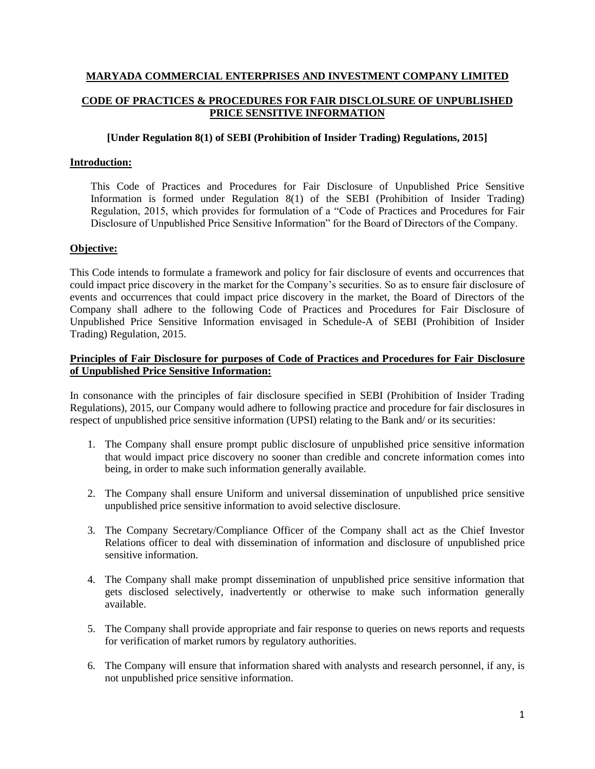# **MARYADA COMMERCIAL ENTERPRISES AND INVESTMENT COMPANY LIMITED CODE OF PRACTICES & PROCEDURES FOR FAIR DISCLOLSURE OF UNPUBLISHED PRICE SENSITIVE INFORMATION**

## **[Under Regulation 8(1) of SEBI (Prohibition of Insider Trading) Regulations, 2015]**

#### **Introduction:**

This Code of Practices and Procedures for Fair Disclosure of Unpublished Price Sensitive Information is formed under Regulation 8(1) of the SEBI (Prohibition of Insider Trading) Regulation, 2015, which provides for formulation of a "Code of Practices and Procedures for Fair Disclosure of Unpublished Price Sensitive Information" for the Board of Directors of the Company.

#### **Objective:**

This Code intends to formulate a framework and policy for fair disclosure of events and occurrences that could impact price discovery in the market for the Company's securities. So as to ensure fair disclosure of events and occurrences that could impact price discovery in the market, the Board of Directors of the Company shall adhere to the following Code of Practices and Procedures for Fair Disclosure of Unpublished Price Sensitive Information envisaged in Schedule-A of SEBI (Prohibition of Insider Trading) Regulation, 2015.

### **Principles of Fair Disclosure for purposes of Code of Practices and Procedures for Fair Disclosure of Unpublished Price Sensitive Information:**

In consonance with the principles of fair disclosure specified in SEBI (Prohibition of Insider Trading Regulations), 2015, our Company would adhere to following practice and procedure for fair disclosures in respect of unpublished price sensitive information (UPSI) relating to the Bank and/ or its securities:

- 1. The Company shall ensure prompt public disclosure of unpublished price sensitive information that would impact price discovery no sooner than credible and concrete information comes into being, in order to make such information generally available.
- 2. The Company shall ensure Uniform and universal dissemination of unpublished price sensitive unpublished price sensitive information to avoid selective disclosure.
- 3. The Company Secretary/Compliance Officer of the Company shall act as the Chief Investor Relations officer to deal with dissemination of information and disclosure of unpublished price sensitive information.
- 4. The Company shall make prompt dissemination of unpublished price sensitive information that gets disclosed selectively, inadvertently or otherwise to make such information generally available.
- 5. The Company shall provide appropriate and fair response to queries on news reports and requests for verification of market rumors by regulatory authorities.
- 6. The Company will ensure that information shared with analysts and research personnel, if any, is not unpublished price sensitive information.